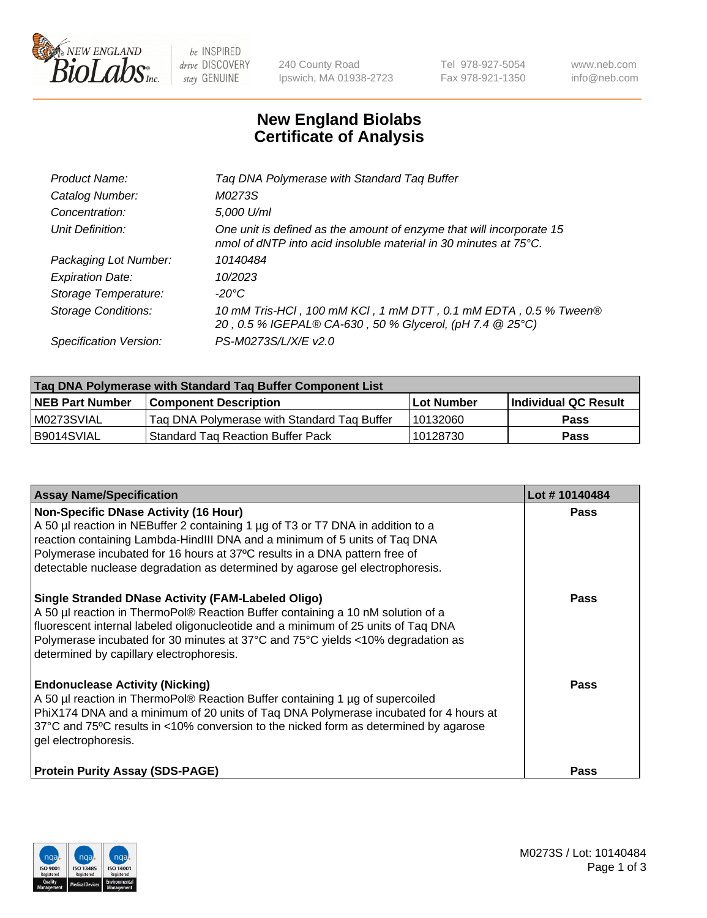

 $be$  INSPIRED drive DISCOVERY stay GENUINE

240 County Road Ipswich, MA 01938-2723 Tel 978-927-5054 Fax 978-921-1350 www.neb.com info@neb.com

## **New England Biolabs Certificate of Analysis**

| Product Name:              | Tag DNA Polymerase with Standard Tag Buffer                                                                                                        |
|----------------------------|----------------------------------------------------------------------------------------------------------------------------------------------------|
| Catalog Number:            | M0273S                                                                                                                                             |
| Concentration:             | 5,000 U/ml                                                                                                                                         |
| Unit Definition:           | One unit is defined as the amount of enzyme that will incorporate 15<br>nmol of dNTP into acid insoluble material in 30 minutes at $75^{\circ}$ C. |
| Packaging Lot Number:      | 10140484                                                                                                                                           |
| <b>Expiration Date:</b>    | 10/2023                                                                                                                                            |
| Storage Temperature:       | $-20^{\circ}$ C                                                                                                                                    |
| <b>Storage Conditions:</b> | 10 mM Tris-HCl, 100 mM KCl, 1 mM DTT, 0.1 mM EDTA, 0.5 % Tween®<br>20, 0.5 % IGEPAL® CA-630, 50 % Glycerol, (pH 7.4 @ 25°C)                        |
| Specification Version:     | PS-M0273S/L/X/E v2.0                                                                                                                               |

| Tag DNA Polymerase with Standard Tag Buffer Component List |                                             |                   |                      |  |
|------------------------------------------------------------|---------------------------------------------|-------------------|----------------------|--|
| <b>NEB Part Number</b>                                     | Component Description_                      | <b>Lot Number</b> | Individual QC Result |  |
| M0273SVIAL                                                 | Tag DNA Polymerase with Standard Tag Buffer | 10132060          | Pass                 |  |
| B9014SVIAL                                                 | <b>Standard Tag Reaction Buffer Pack</b>    | 10128730          | <b>Pass</b>          |  |

| <b>Assay Name/Specification</b>                                                                                                                                                                                                                                                                                                                                              | Lot #10140484 |
|------------------------------------------------------------------------------------------------------------------------------------------------------------------------------------------------------------------------------------------------------------------------------------------------------------------------------------------------------------------------------|---------------|
| <b>Non-Specific DNase Activity (16 Hour)</b><br>A 50 µl reaction in NEBuffer 2 containing 1 µg of T3 or T7 DNA in addition to a<br>reaction containing Lambda-HindIII DNA and a minimum of 5 units of Taq DNA<br>Polymerase incubated for 16 hours at 37°C results in a DNA pattern free of<br>detectable nuclease degradation as determined by agarose gel electrophoresis. | Pass          |
| <b>Single Stranded DNase Activity (FAM-Labeled Oligo)</b><br>A 50 µl reaction in ThermoPol® Reaction Buffer containing a 10 nM solution of a<br>fluorescent internal labeled oligonucleotide and a minimum of 25 units of Taq DNA<br>Polymerase incubated for 30 minutes at 37°C and 75°C yields <10% degradation as<br>determined by capillary electrophoresis.             | Pass          |
| <b>Endonuclease Activity (Nicking)</b><br>A 50 µl reaction in ThermoPol® Reaction Buffer containing 1 µg of supercoiled<br>PhiX174 DNA and a minimum of 20 units of Taq DNA Polymerase incubated for 4 hours at<br>37°C and 75°C results in <10% conversion to the nicked form as determined by agarose<br>gel electrophoresis.                                              | Pass          |
| <b>Protein Purity Assay (SDS-PAGE)</b>                                                                                                                                                                                                                                                                                                                                       | Pass          |

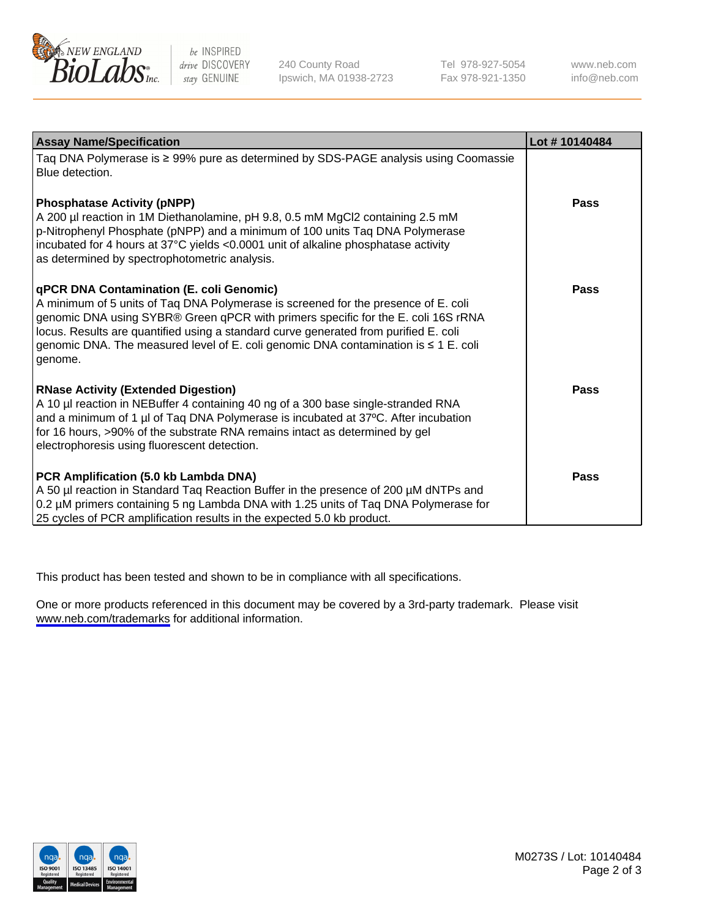

be INSPIRED drive DISCOVERY stay GENUINE

240 County Road Ipswich, MA 01938-2723 Tel 978-927-5054 Fax 978-921-1350

www.neb.com info@neb.com

| <b>Assay Name/Specification</b>                                                                                                                                                                                                                                                                                                                                                                               | Lot #10140484 |
|---------------------------------------------------------------------------------------------------------------------------------------------------------------------------------------------------------------------------------------------------------------------------------------------------------------------------------------------------------------------------------------------------------------|---------------|
| Taq DNA Polymerase is ≥ 99% pure as determined by SDS-PAGE analysis using Coomassie<br>Blue detection.                                                                                                                                                                                                                                                                                                        |               |
| <b>Phosphatase Activity (pNPP)</b><br>A 200 µl reaction in 1M Diethanolamine, pH 9.8, 0.5 mM MgCl2 containing 2.5 mM<br>p-Nitrophenyl Phosphate (pNPP) and a minimum of 100 units Taq DNA Polymerase<br>incubated for 4 hours at 37°C yields <0.0001 unit of alkaline phosphatase activity<br>as determined by spectrophotometric analysis.                                                                   | Pass          |
| qPCR DNA Contamination (E. coli Genomic)<br>A minimum of 5 units of Taq DNA Polymerase is screened for the presence of E. coli<br>genomic DNA using SYBR® Green qPCR with primers specific for the E. coli 16S rRNA<br>locus. Results are quantified using a standard curve generated from purified E. coli<br>genomic DNA. The measured level of E. coli genomic DNA contamination is ≤ 1 E. coli<br>genome. | Pass          |
| <b>RNase Activity (Extended Digestion)</b><br>A 10 µl reaction in NEBuffer 4 containing 40 ng of a 300 base single-stranded RNA<br>and a minimum of 1 µl of Taq DNA Polymerase is incubated at 37°C. After incubation<br>for 16 hours, >90% of the substrate RNA remains intact as determined by gel<br>electrophoresis using fluorescent detection.                                                          | Pass          |
| PCR Amplification (5.0 kb Lambda DNA)<br>A 50 µl reaction in Standard Tag Reaction Buffer in the presence of 200 µM dNTPs and<br>0.2 µM primers containing 5 ng Lambda DNA with 1.25 units of Taq DNA Polymerase for<br>25 cycles of PCR amplification results in the expected 5.0 kb product.                                                                                                                | Pass          |

This product has been tested and shown to be in compliance with all specifications.

One or more products referenced in this document may be covered by a 3rd-party trademark. Please visit <www.neb.com/trademarks>for additional information.